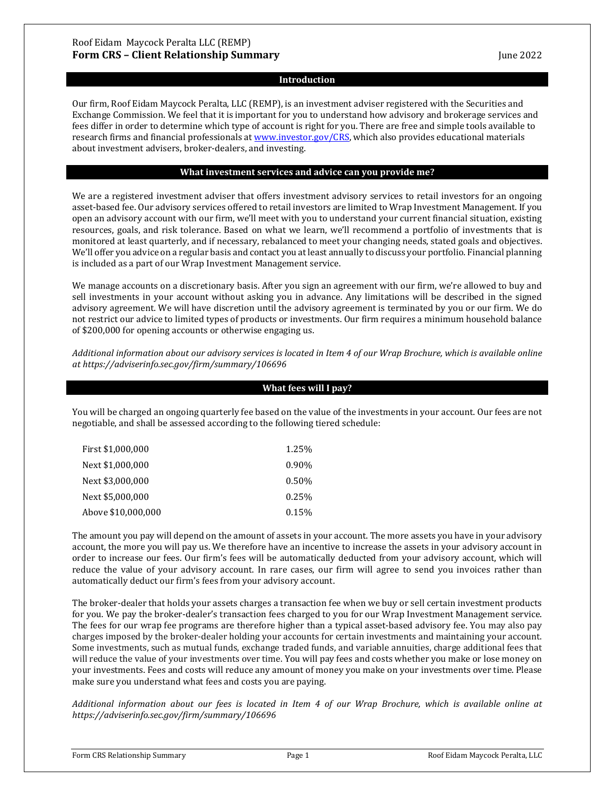#### **Introduction**

Our firm, Roof Eidam Maycock Peralta, LLC (REMP), is an investment adviser registered with the Securities and Exchange Commission. We feel that it is important for you to understand how advisory and brokerage services and fees differ in order to determine which type of account is right for you. There are free and simple tools available to research firms and financial professionals a[t www.investor.gov/CRS,](http://www.investor.gov/CRS) which also provides educational materials about investment advisers, broker-dealers, and investing.

## **What investment services and advice can you provide me?**

We are a registered investment adviser that offers investment advisory services to retail investors for an ongoing asset-based fee. Our advisory services offered to retail investors are limited to Wrap Investment Management. If you open an advisory account with our firm, we'll meet with you to understand your current financial situation, existing resources, goals, and risk tolerance. Based on what we learn, we'll recommend a portfolio of investments that is monitored at least quarterly, and if necessary, rebalanced to meet your changing needs, stated goals and objectives. We'll offer you advice on a regular basis and contact you at least annually to discuss your portfolio. Financial planning is included as a part of our Wrap Investment Management service.

We manage accounts on a discretionary basis. After you sign an agreement with our firm, we're allowed to buy and sell investments in your account without asking you in advance. Any limitations will be described in the signed advisory agreement. We will have discretion until the advisory agreement is terminated by you or our firm. We do not restrict our advice to limited types of products or investments. Our firm requires a minimum household balance of \$200,000 for opening accounts or otherwise engaging us.

*Additional information about our advisory services is located in Item 4 of our Wrap Brochure, which is available online at https://adviserinfo.sec.gov/firm/summary/106696*

## **What fees will I pay?**

You will be charged an ongoing quarterly fee based on the value of the investments in your account. Our fees are not negotiable, and shall be assessed according to the following tiered schedule:

| First \$1,000,000  | 1.25%    |
|--------------------|----------|
| Next \$1,000,000   | $0.90\%$ |
| Next \$3,000,000   | 0.50%    |
| Next \$5,000,000   | 0.25%    |
| Above \$10,000,000 | 0.15%    |

The amount you pay will depend on the amount of assets in your account. The more assets you have in your advisory account, the more you will pay us. We therefore have an incentive to increase the assets in your advisory account in order to increase our fees. Our firm's fees will be automatically deducted from your advisory account, which will reduce the value of your advisory account. In rare cases, our firm will agree to send you invoices rather than automatically deduct our firm's fees from your advisory account.

The broker-dealer that holds your assets charges a transaction fee when we buy or sell certain investment products for you. We pay the broker-dealer's transaction fees charged to you for our Wrap Investment Management service. The fees for our wrap fee programs are therefore higher than a typical asset-based advisory fee. You may also pay charges imposed by the broker-dealer holding your accounts for certain investments and maintaining your account. Some investments, such as mutual funds, exchange traded funds, and variable annuities, charge additional fees that will reduce the value of your investments over time. You will pay fees and costs whether you make or lose money on your investments. Fees and costs will reduce any amount of money you make on your investments over time. Please make sure you understand what fees and costs you are paying.

*Additional information about our fees is located in Item 4 of our Wrap Brochure, which is available online at https://adviserinfo.sec.gov/firm/summary/106696*